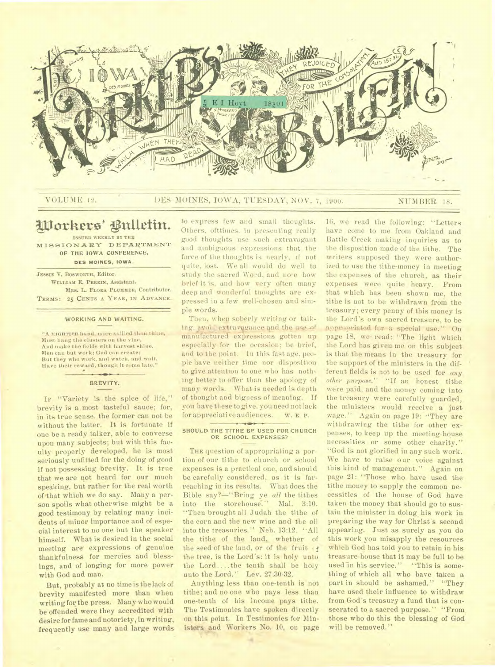

### VOLUME 12. 1998 DES MOINES, IOWA, TUESDAY, NOV. 7, 1900. NUMBER 18.

# Workers' Bulletin.

**ISSUED WEEKLY BY THE**  MISSIONARY DEPARTMENT OF THE IOWA CONFERENCE, **DES MOINES, IOWA.** 

**JESSIE V. BOSWORTH,** Editor. **WILLIAM** E. **PERRIN, Assistant. MRS.** L. FLORA **PLUMBER, Contributor.**  TERMS: 25 CENTS A YEAR, IN ADVANCE.

#### WORKING AND WAITING.

"A MIGHTIER hand, more skilled than thine, Must hang the clusters on the vine, And make the fields with harvest shine. Men can but work; God can create; But they who work, and watch, and wait, Have their reward, though it come late."

#### $\rightarrow$ BREVITY.

IF "Variety is the spice of life." brevity is a most tasteful sauce; for, in its true sense, the former can not be without the latter. It is fortunate if one be a ready talker, able to converse upon many subjects; but with this faculty properly developed, he is most seriously unfitted for the doing of good if not possessing brevity. It is true that we are not heard for our much speaking, but rather for the real worth of that which we do say. Many a person spoils what otherwise might be a good testimony by relating many incidents of minor importance and of especial interest to no one but the speaker himself. What is desired in the social meeting are expressions of genuine thankfulness for mercies and blessings, and of longing for more power with God and man.

But, probably at no time is the lack of brevity manifested more than when writing for the press. Many who would be offended were they accredited with desire for fame and notoriety, in writing, frequently use many and large words to express few and small thoughts. Others, ofttimes. in presenting really good thoughts use such extravagant and ambiguous expressions that the force of the thoughts is nearly, if not quite, lost. We all would do well to study the sacred Word, and note how brief it is, and how very often many deep and wonderful thoughts are expressed in a few well-chosen and simple words.

Then, when soberly writing or talking, avoi extravugance and the use of manufactured expressions gotten up especially for the occasion; be brief, and to the point. In this fast age, people have neither time nor disposition to give attention to one who has nothing better to offer than the apology of many words. What is needed is depth of thought and bigness of meaning. If you have these to give. you need not lack for appreciati ve audiences. w. E. P.

### SHOULD THE TITHE BE USED FOR CHURCH OR SCHOOL EXPENSES?

THE question of appropriating a portion of our tithe to church or school expenses is a practical one, and should be carefully considered, as it is farreaching in its results. What does the Bible say?—"Bring ye *all* the tithes into the storehouse:" Mal. 3:10. "Then brought all Judah the tithe of the corn and the new wine and the oil into the treasuries." Neh. 13:12. "All the tithe of the land, whether of the seed of the land, or of the fruit  $rf$ the tree, is the Lord's: it is holy unto the Lord....the tenth shall be holy unto the Lord." Lev. 27:30-32.

Anything less than one-tenth is not tithe; and no one who pays less than one-tenth of his income pays tithe. The Testimonies have spoken directly on this point. In Testimonies for Ministers and Workers No. 10, on page

16, we read the following: "Letters have come to me from Oakland and Battle Creek making inquiries as to the disposition made of the tithe. The writers supposed they were authorized to use the tithe-money in meeting the expenses of the church, as their expenses were quite heavy. From that which has been shown me, the tithe is not to be withdrawn from the treasury; every penny of this money is the Lord's own sacred treasure, to be appropriated for a special use." On page 18, we- read: "The light which the Lord has given me on this subject is that the means in the treasury for the support of the ministers in the different fields is not to be used for *any other purpose."* "If an honest tithe were paid, and the money coming into the treasury were carefully guarded, the ministers would receive a just wage." Again on page 19: "They are withdrawing the tithe for other expenses, to keep up the meeting-house necessities or some other charity." "God is not glorified in any such work. We have to raise our voice against this kind of management." Again on page 21: "Those who have used the tithe money to supply the common necessities of the house of God have taken the money that should go to sustain the minister in doing, his work in preparing the way for Christ's second appearing. Just as surely as you do this work you misapply the resources which God has told you to retain in his treasure-house that it may be full to be used in his service." "This is something of which all who have taken a part in should be ashamed." "They have used their influence to withdraw from God's treasury a fund that is consecrated to a sacred purpose." "From those who do this the blessing of God will be removed."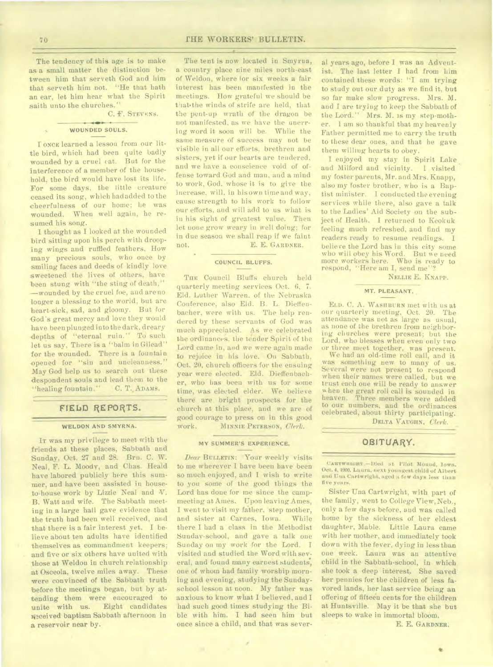ik.

TO THE WORKERS' BULLETIN.

The tendency of this age is to make as a small matter the distinction between him that serveth God and him that serveth him not. "He that hath an ear, let him hear what the Spirit saith unto the churches."

C. F. STEVENS.

### **WOUNDED SOULS.**

**r ONCE** learned a lesson from our little bird, which had been quite badly wounded by a cruel cat. But for the interference of a member of the household, the bird would have lost its life. For some days, the little creature ceased its song, which had added to the cheerfulness of our home; he was wounded. When well again, he resumed his song.

I thought as I looked at the wounded bird sitting upon his perch with drooping wings and ruffled feathers, How many precious souls, who once by smiling faces and deeds of kindly love sweetened the lives of others, have been stung with "the sting of death," —wounded by the cruel foe, and are no longer a blessing to the world, but are heart-sick, sad, and gloomy. But for God's great mercy and love they would have been plunged into the dark, dreary depths of "eternal ruin." To such let us say, There is a "balm in Gilead" for the wounded. There is a fountain opened for "sin and uncleanness." May God help us to search out these despondent souls and lead them to the "healing fountain." C. T. ADAMS.

### FIEIaD REPORTS.

#### **WELDON AND SMYRNA.**

**IT** was my privilege to meet with the friends at these places, Sabbath and Sunday, Oct. 27 and 28. Brn. C. W. Neal, F. L. Moody, and Chas. Heald have labored publicly here this summer, and have been assisted in houseto-house work by Lizzie Neal and V. B. Watt and wife. The Sabbath meeting in a large hall gave evidence that the truth had been well received, and that there is a fair interest yet. I believe about ten adults have identified themselves as commandment keepers; and five or six others have united with those at Weldon in church relationship at Osceola, twelve miles away. These were convinced of the Sabbath truth before the meetings began, but by attending them were encouraged to unite with us. Eight candidates geceived baptism Sabbath afternoon in a reservoir near by.

The tent is now located in Smyrna, a country place nine miles north-east of Weldon, where for six weeks a fair interest has been manifested in the meetings. How grateful we should be that the winds of strife are held, that the pent-up wrath of the dragon be not manifested, as we have the unerring word it soon will be. While the same measure of success may not be visible in all our efforts, brethren and sisters, yet if our hearts are tendered, and we have a conscience void of offense toward God and man, and a mind to work, God, whose it is to give the increase, will, in his own time and way, cause strength to his work to follow our efforts, and will add to us what is iu his sight of greatest value. Then let none grow weary in well doing; for in due season we shall reap if we faint not. E. E. **GARDNER.** 

### **COUNCIL BLUFFS.**

•

THE Council Bluffs church held quarterly meeting services Oct. 6, 7. Eld. Luther Warren. of the Nebraska Conference, also Eld. B. L. Dieffenbacher, were with us. The help rendered by these servants of God was much appreciated. As we celebrated the ordinances, the tender Spirit of the Lord came in, and we were again made to rejoice in his love. On Sabbath, Oct. 20, church officers for the ensuing *year* were elected. Eld. Dieffenbacher, who has been with us for some time, was elected elder. We believe there are bright prospects for the church at this place, and we are of good courage to press on in this good work. **MINNIE PETERSON,** *Clerk.* 

### **MY SUMMER'S EXPERIENCE.**

*Dear* **BULLETIN:** Your weekly visits to me wherever I have been have been so much enjoyed, and I wish to write to you some of the good things the Lord has done for me since the campmeeting at Ames. Upon leaving Ames, I went to visit my fither, step mother, and sister at Carnes, Iowa. While there I had a class in the Methodist Sunday-school, and gave a talk one Sunday on my work for the Lord. I visited and studied the Word with several, and found many earnest students., one of whom had family worship morning and evening, studying the Sundayschool lesson at noon. My father was anxious to know what I believed, and I had such good times studying the Bible with him. I had seen him but once since a child, and that was sever-

 $\mathcal{A}$ 

al years ago, before I was au Adventist. The last letter I had from him contained these words: "I am trying to study out our duty as we find it, but so far make slow progress. Mrs. M. and I are trying to keep the Sabbath of the Lord." Mrs. M. is my step-mother. I am so thankful that my heavenly Father permitted me to carry the truth to these dear ones, and that he gave them willing hearts to obey.

I enjoyed my stay in Spirit Lake and Milford and vicinity. I visited my foster parents, Mr. and Mrs. Knapp, also my foster brother, who is a Baptist minister. I conducted the evening services while there, also gave a talk to the Ladies' Aid Society on the subject of Health. I returned to Keokuk feeling much refreshed, and find my readers ready to resume readings. I believe the Lord has in this city some who will obey his Word. But we need more workers here. Who is ready to respond, "Here am I, send me"?

**NELLIE** E. **KNAPP.** 

### **MT. PLEASANT.**

**ELD.** C. A. **WASHBURN** met with **us** at our quarterly meeting, Oct. 20. The attendance was not as large as usual, as none of the brethren from neighboring churches were present; but the Lord, who blesses when even only two or three meet together, was present.

We had an old-time roll call, and it was something new to many of us. Several were not present to respond when their names were called, but we trust each one will be ready to answer w hen the great roll call is sounded in heaven. Three members were added to our numbers, and the ordinances celebrated, about thirty participating.

**DELTA VAUGHN,** *Clerk.* 

### OBITUARY.

**CARTWRIGHT.—Died at l'ilOt Mound, Iowa. Oct. 4, 1900, Laura. next youngest child of Albert and Una Cartwright, aged a few days less than five years.** 

Sister Una Cartwright, with part of the family, went to College View, Neb., only a few days before, and was called home by the sickness of her eldest daughter, Mable. Little Laura came with her mother, and immediately took down with the fever, dying in less than one week. Laura was an attentive child in the Sabbath-school, in which she took a deep interest. She saved her pennies for the children of less favored lands, her last service being an offering of fifteen cents for the children at Huntsville. May it be that she but sleeps to wake in immortal bloom.

E. E. **GARDNER.** 

•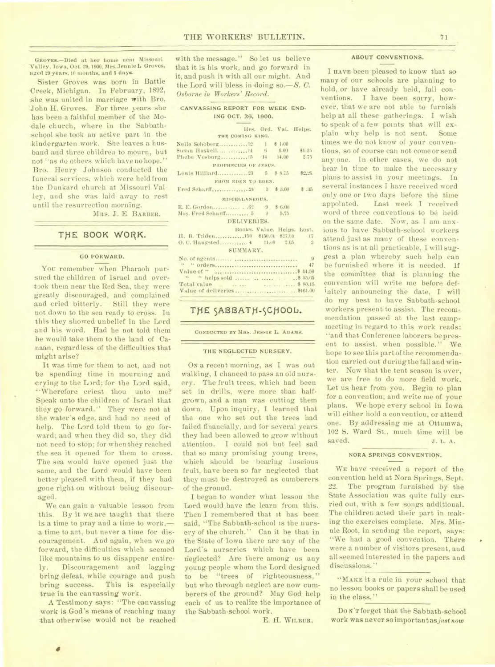(TROVES.—Died at her home next Missouri Valley, Town, Oct. 29, 1900, Mrs. Jennie L. Groves, aged 29 years, 10 mouths, and 5 days.

Sister Groves was born in Battle 'Creek, Michigan. In February, 1892, she was united in marriage with Bro. John H. Groves. For three years she has been a faithful member of the Mo dale church, where in the Sabbathschool she took an active part in the kindergarten work. She leaves a husband and three children to mourn, but not "as do others which have no hope." Bro. Henry Johnson conducted the funeral services, which were held from the Dunkard church at Missouri Valley, and she was laid away to rest until the resurrection morning.

MRS. J. E. BARBER.

### THE BOOK WORK.

### **GO FORWARD.**

You remember when Pharaoh pursued the children of Israel and overtook them near the Red Sea, they were greatly discouraged, and complained and cried bitterly. Still they were not down to the sea ready to cross. In this they showed unbelief in the Lord and his word. Had he not told them he would take them to the land of Canaan, regardless of the difficulties that might arise?

It was time for them to act, and not be spending time in mourning and crying to the L)rd; for the Lord said, •`Wherefore criest thou unto me? Speak unto the children of Israel that they go forward." They were not at the water's edge, and had no need of help. The Lord told them to go forward; and when they did so, they did not need to stop; for when they reached the sea it opened for them to cross. The sea would have opened just the same, and the Lord would have been better pleased with them, if they had gone right on without being discouraged.

We can gain a valuable lesson from this. By it we are taught that there is a time to pray and a time to work, a time to act, but never a time for discouragement. And again, when we go forward, the difficulties which seemed like mountains to us disappear entirely. Discouragement and lagging bring defeat, while courage and push bring success. This is especially true in the canvassing work.

A Testimony says: "The canvassing work is God's means of reaching many .that otherwise would not be reached

with the message." So let us believe that it is his work, and go forward in it, and push it with all our might. And the Lord will bless in doing so. - S. C. *Osborne in Workers' Record.* 

#### **CANVASSING REPORT FOR WEEK END-ING OCT. 26, 1900.**

|                                     |  |  | Hrs. Ord. Val. Helps.      |
|-------------------------------------|--|--|----------------------------|
| THE COMING KING.                    |  |  |                            |
|                                     |  |  |                            |
| Susan Haskell  14 6 6.00 81.25      |  |  |                            |
|                                     |  |  | 2.75                       |
| PROPHECIES OF JESUS.                |  |  |                            |
| Lewis Hilliard 23 5 \$ 8.75 \$2.25  |  |  |                            |
| FROM EDEN TO EDEN.                  |  |  |                            |
|                                     |  |  |                            |
| MISCELLANEOUS.                      |  |  |                            |
|                                     |  |  |                            |
|                                     |  |  |                            |
| DELIVERIES.                         |  |  |                            |
|                                     |  |  | Books, Value, Helps, Lost. |
| H. B. Tilden150 \$150.00 \$27.00 17 |  |  |                            |
|                                     |  |  |                            |
| SUMMARY.                            |  |  |                            |
|                                     |  |  |                            |
|                                     |  |  |                            |
|                                     |  |  |                            |
| " "helps sold    \$ 35.65           |  |  |                            |
| Total value 8 80.15                 |  |  |                            |
|                                     |  |  |                            |

### THE SABBATH-SCHOOL.

CONDUCTED BY MRS. JESSIE L. ADAMS.

#### **THE NEGLECTED NURSERY.**

ON a recent morning, as **I** was out walking, I chanced to pass an old nursery. The fruit trees, which had been set in drills, were more than halfgrown, and a man was cutting them down. Upon inquiry, I learned that the one who set out the trees had failed financially, and for several years they had been allowed to grow without attention. I could not but feel sad that so many promising young trees, which should be bearing luscious fruit, have been so far neglected that they must be destroyed as cumberers of the ground.

I began to wonder what lesson the Lord would have the learn from this. Then I remembered that it has been said, "The Sabbath-school is the nursery of the church." Can it he that in the State of Iowa there are any of the Lord's nurseries which have been neglected? Are there among us any young people whom the Lord designed to be "trees of righteousness," but who through neglect are now cumberers of the ground? May God help each of us to realize the importance of the Sabbath-school work.

E. **H. WILBUR.** 

#### **ABOUT CONVENTIONS.**

**I** HAVE been pleased to know that so many of our schools are planning to hold, or have already held, fall conventions. I have been sorry, however, that we are not able to furnish help at all these gatherings. I wish to speak of a few points that will explain why help is not sent. Some times we do not know of your conventions, so of course can not come or send any one. In other cases, we do not hear in time to make the necessary plans to assist in your meetings. In several instances I have received word only one or two days before the time appointed. Last week **I** received word of three conventions to be held on the same date. Now, as I am anxious to have Sabbath-school workers attend just as many of these conventions as is at all practicable, **I** will suggest a plan whereby such help can be furnished where it is needed. **If**  the committee that is planning the convention will write me before definitely announcing the date, **I** will do my best to have Sabbath-school workers present to assist. The recommendation passed at the last campmeeting in regard to this work reads: "and that Conference laborers bepresent to assist, when possible." We hope to see this part of the recommendation carried out during the fall and winter. Now that the tent season is over, we are free to do more field work. Let us hear from you. Begin to plan for a convention, and write me of your plans. We hope every school in Iowa will either hold a convention, or attend one. By addressing me at Ottumwa, 102 **S.** Ward St., much time will be saved. J. L. A.

### **NORA SPRINGS CONVENTION.**

WE have received a report of the convention held at Nora Springs, Sept. 22. The program furnished by the State Association was quite fully carried out, with a few songs additional. The children acted their part in making the exercises complete. Mrs. Minnie Root, in sending the report, says: "We had a good convention. There were a number of visitors present, and all seemed interested in the papers and discussions.'

"MAKE it a rule in your school that no lesson books or papers shall be used in the class."

Do N'T forget that the Sabbath-school work was never so important *as just now*